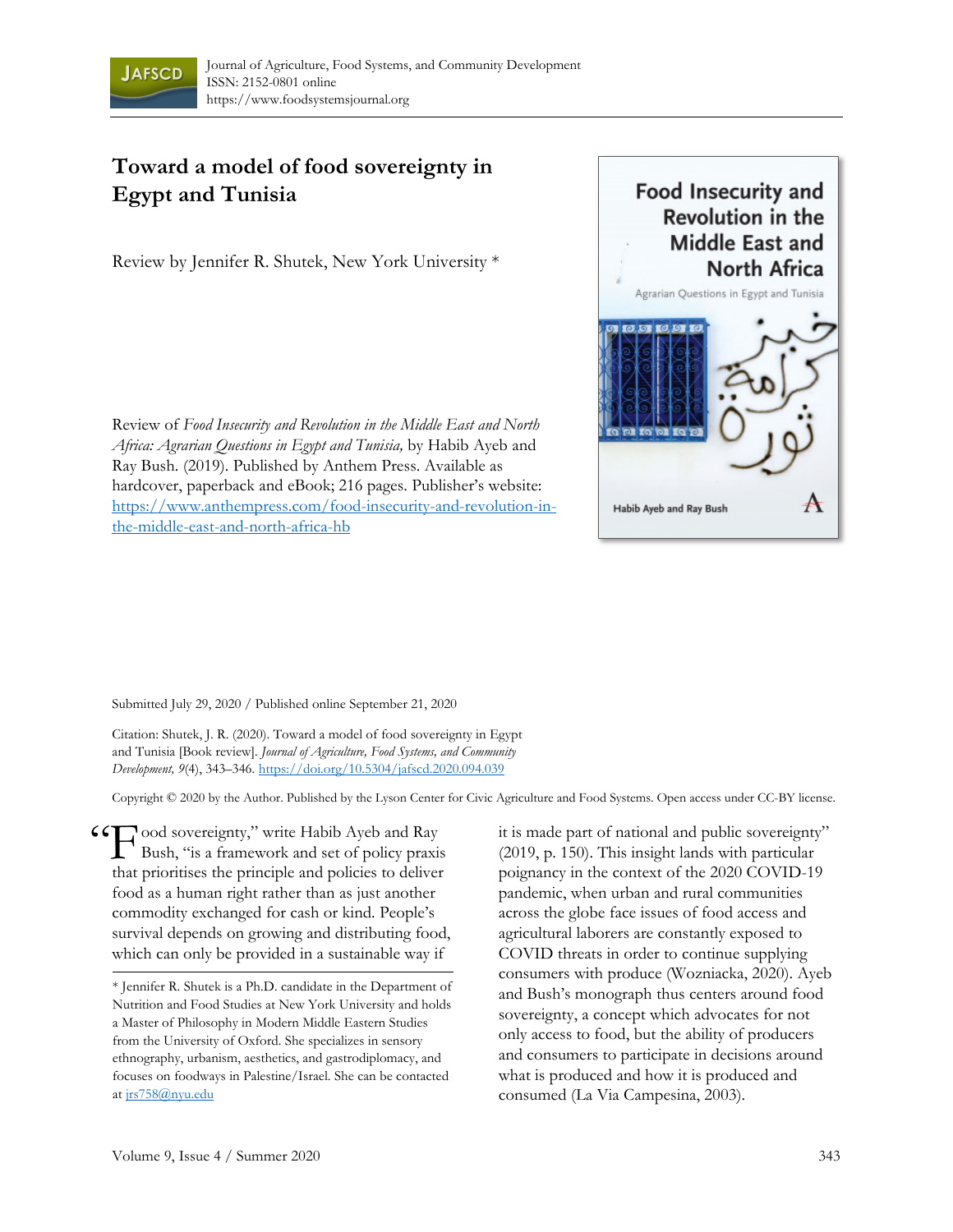

## **Toward a model of food sovereignty in Egypt and Tunisia**

Review by Jennifer R. Shutek, New York University \*

Review of *Food Insecurity and Revolution in the Middle East and North Africa: Agrarian Questions in Egypt and Tunisia,* by Habib Ayeb and Ray Bush. (2019). Published by Anthem Press. Available as hardcover, paperback and eBook; 216 pages. Publisher's website: https://www.anthempress.com/food-insecurity-and-revolution-inthe-middle-east-and-north-africa-hb



Submitted July 29, 2020 / Published online September 21, 2020

Citation: Shutek, J. R. (2020). Toward a model of food sovereignty in Egypt and Tunisia [Book review]. *Journal of Agriculture, Food Systems, and Community Development, 9*(4), 343–346. https://doi.org/10.5304/jafscd.2020.094.039

Copyright © 2020 by the Author. Published by the Lyson Center for Civic Agriculture and Food Systems. Open access under CC-BY license.

CCT ood sovereignty," write Habib Ayeb and Ray<br>Bush, "is a framework and set of policy praxis Bush, "is a framework and set of policy praxis that prioritises the principle and policies to deliver food as a human right rather than as just another commodity exchanged for cash or kind. People's survival depends on growing and distributing food, which can only be provided in a sustainable way if

it is made part of national and public sovereignty" (2019, p. 150). This insight lands with particular poignancy in the context of the 2020 COVID-19 pandemic, when urban and rural communities across the globe face issues of food access and agricultural laborers are constantly exposed to COVID threats in order to continue supplying consumers with produce (Wozniacka, 2020). Ayeb and Bush's monograph thus centers around food sovereignty, a concept which advocates for not only access to food, but the ability of producers and consumers to participate in decisions around what is produced and how it is produced and consumed (La Via Campesina, 2003).

<sup>\*</sup> Jennifer R. Shutek is a Ph.D. candidate in the Department of Nutrition and Food Studies at New York University and holds a Master of Philosophy in Modern Middle Eastern Studies from the University of Oxford. She specializes in sensory ethnography, urbanism, aesthetics, and gastrodiplomacy, and focuses on foodways in Palestine/Israel. She can be contacted at jrs758@nyu.edu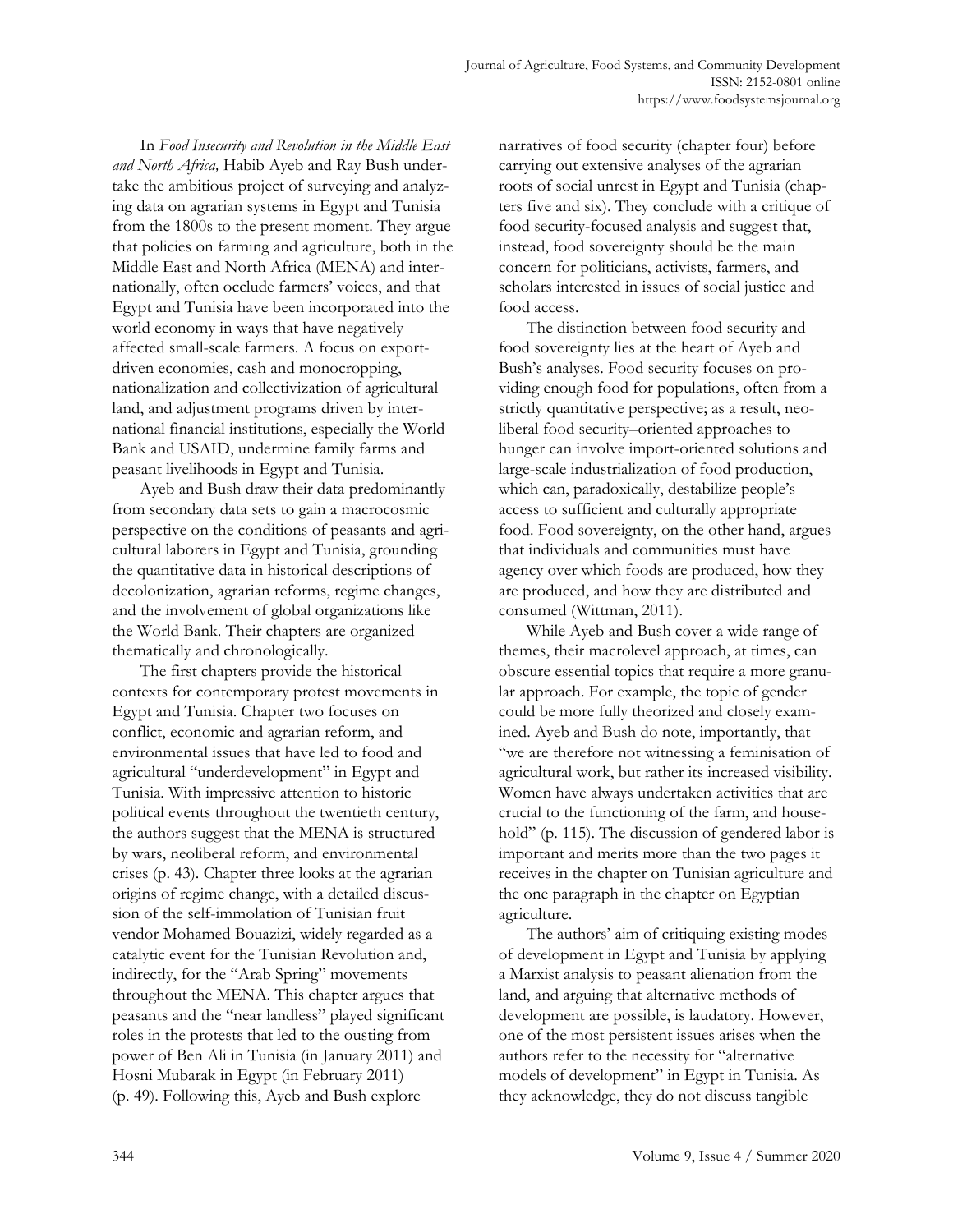In *Food Insecurity and Revolution in the Middle East and North Africa,* Habib Ayeb and Ray Bush undertake the ambitious project of surveying and analyzing data on agrarian systems in Egypt and Tunisia from the 1800s to the present moment. They argue that policies on farming and agriculture, both in the Middle East and North Africa (MENA) and internationally, often occlude farmers' voices, and that Egypt and Tunisia have been incorporated into the world economy in ways that have negatively affected small-scale farmers. A focus on exportdriven economies, cash and monocropping, nationalization and collectivization of agricultural land, and adjustment programs driven by international financial institutions, especially the World Bank and USAID, undermine family farms and peasant livelihoods in Egypt and Tunisia.

 Ayeb and Bush draw their data predominantly from secondary data sets to gain a macrocosmic perspective on the conditions of peasants and agricultural laborers in Egypt and Tunisia, grounding the quantitative data in historical descriptions of decolonization, agrarian reforms, regime changes, and the involvement of global organizations like the World Bank. Their chapters are organized thematically and chronologically.

 The first chapters provide the historical contexts for contemporary protest movements in Egypt and Tunisia. Chapter two focuses on conflict, economic and agrarian reform, and environmental issues that have led to food and agricultural "underdevelopment" in Egypt and Tunisia. With impressive attention to historic political events throughout the twentieth century, the authors suggest that the MENA is structured by wars, neoliberal reform, and environmental crises (p. 43). Chapter three looks at the agrarian origins of regime change, with a detailed discussion of the self-immolation of Tunisian fruit vendor Mohamed Bouazizi, widely regarded as a catalytic event for the Tunisian Revolution and, indirectly, for the "Arab Spring" movements throughout the MENA. This chapter argues that peasants and the "near landless" played significant roles in the protests that led to the ousting from power of Ben Ali in Tunisia (in January 2011) and Hosni Mubarak in Egypt (in February 2011) (p. 49). Following this, Ayeb and Bush explore

narratives of food security (chapter four) before carrying out extensive analyses of the agrarian roots of social unrest in Egypt and Tunisia (chapters five and six). They conclude with a critique of food security-focused analysis and suggest that, instead, food sovereignty should be the main concern for politicians, activists, farmers, and scholars interested in issues of social justice and food access.

 The distinction between food security and food sovereignty lies at the heart of Ayeb and Bush's analyses. Food security focuses on providing enough food for populations, often from a strictly quantitative perspective; as a result, neoliberal food security–oriented approaches to hunger can involve import-oriented solutions and large-scale industrialization of food production, which can, paradoxically, destabilize people's access to sufficient and culturally appropriate food. Food sovereignty, on the other hand, argues that individuals and communities must have agency over which foods are produced, how they are produced, and how they are distributed and consumed (Wittman, 2011).

 While Ayeb and Bush cover a wide range of themes, their macrolevel approach, at times, can obscure essential topics that require a more granular approach. For example, the topic of gender could be more fully theorized and closely examined. Ayeb and Bush do note, importantly, that "we are therefore not witnessing a feminisation of agricultural work, but rather its increased visibility. Women have always undertaken activities that are crucial to the functioning of the farm, and household" (p. 115). The discussion of gendered labor is important and merits more than the two pages it receives in the chapter on Tunisian agriculture and the one paragraph in the chapter on Egyptian agriculture.

 The authors' aim of critiquing existing modes of development in Egypt and Tunisia by applying a Marxist analysis to peasant alienation from the land, and arguing that alternative methods of development are possible, is laudatory. However, one of the most persistent issues arises when the authors refer to the necessity for "alternative models of development" in Egypt in Tunisia. As they acknowledge, they do not discuss tangible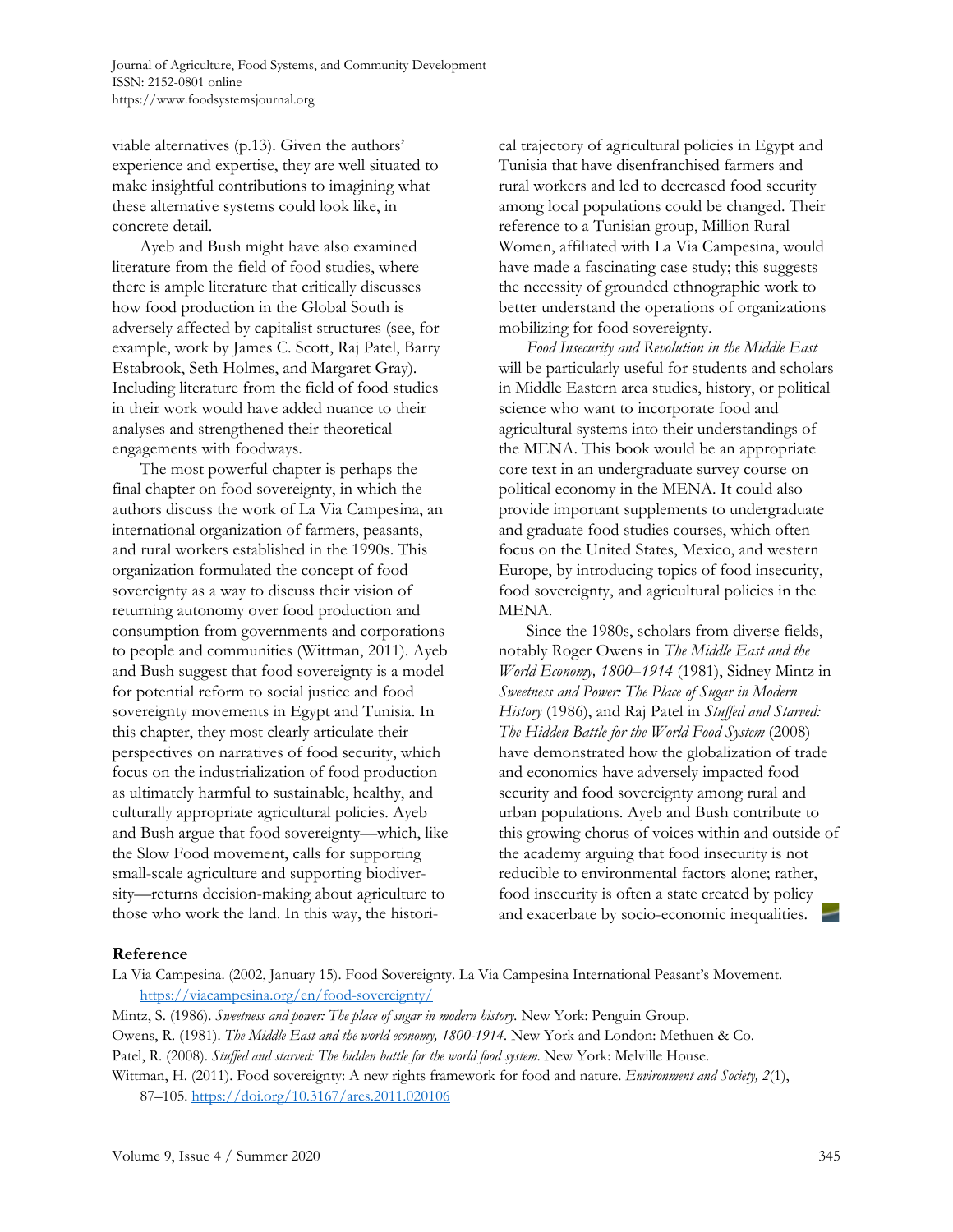viable alternatives (p.13). Given the authors' experience and expertise, they are well situated to make insightful contributions to imagining what these alternative systems could look like, in concrete detail.

 Ayeb and Bush might have also examined literature from the field of food studies, where there is ample literature that critically discusses how food production in the Global South is adversely affected by capitalist structures (see, for example, work by James C. Scott, Raj Patel, Barry Estabrook, Seth Holmes, and Margaret Gray). Including literature from the field of food studies in their work would have added nuance to their analyses and strengthened their theoretical engagements with foodways.

 The most powerful chapter is perhaps the final chapter on food sovereignty, in which the authors discuss the work of La Via Campesina, an international organization of farmers, peasants, and rural workers established in the 1990s. This organization formulated the concept of food sovereignty as a way to discuss their vision of returning autonomy over food production and consumption from governments and corporations to people and communities (Wittman, 2011). Ayeb and Bush suggest that food sovereignty is a model for potential reform to social justice and food sovereignty movements in Egypt and Tunisia. In this chapter, they most clearly articulate their perspectives on narratives of food security, which focus on the industrialization of food production as ultimately harmful to sustainable, healthy, and culturally appropriate agricultural policies. Ayeb and Bush argue that food sovereignty—which, like the Slow Food movement, calls for supporting small-scale agriculture and supporting biodiversity—returns decision-making about agriculture to those who work the land. In this way, the historical trajectory of agricultural policies in Egypt and Tunisia that have disenfranchised farmers and rural workers and led to decreased food security among local populations could be changed. Their reference to a Tunisian group, Million Rural Women, affiliated with La Via Campesina, would have made a fascinating case study; this suggests the necessity of grounded ethnographic work to better understand the operations of organizations mobilizing for food sovereignty.

*Food Insecurity and Revolution in the Middle East* will be particularly useful for students and scholars in Middle Eastern area studies, history, or political science who want to incorporate food and agricultural systems into their understandings of the MENA. This book would be an appropriate core text in an undergraduate survey course on political economy in the MENA. It could also provide important supplements to undergraduate and graduate food studies courses, which often focus on the United States, Mexico, and western Europe, by introducing topics of food insecurity, food sovereignty, and agricultural policies in the MENA.

 Since the 1980s, scholars from diverse fields, notably Roger Owens in *The Middle East and the World Economy, 1800–1914* (1981), Sidney Mintz in *Sweetness and Power: The Place of Sugar in Modern History* (1986), and Raj Patel in *Stuffed and Starved: The Hidden Battle for the World Food System* (2008) have demonstrated how the globalization of trade and economics have adversely impacted food security and food sovereignty among rural and urban populations. Ayeb and Bush contribute to this growing chorus of voices within and outside of the academy arguing that food insecurity is not reducible to environmental factors alone; rather, food insecurity is often a state created by policy and exacerbate by socio-economic inequalities.

## **Reference**

La Via Campesina. (2002, January 15). Food Sovereignty. La Via Campesina International Peasant's Movement. https://viacampesina.org/en/food-sovereignty/

Mintz, S. (1986). *Sweetness and power: The place of sugar in modern history.* New York: Penguin Group.

Owens, R. (1981). *The Middle East and the world economy, 1800-1914.* New York and London: Methuen & Co.

Patel, R. (2008). *Stuffed and starved: The hidden battle for the world food system*. New York: Melville House.

Wittman, H. (2011). Food sovereignty: A new rights framework for food and nature. *Environment and Society, 2*(1), 87–105. https://doi.org/10.3167/ares.2011.020106